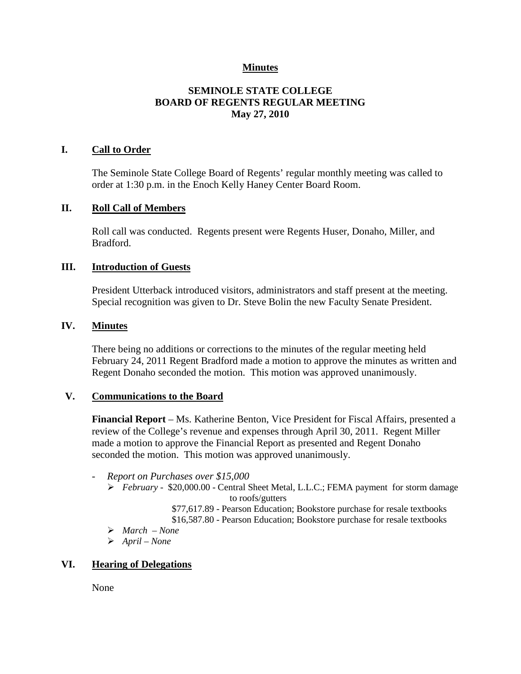## **Minutes**

# **SEMINOLE STATE COLLEGE BOARD OF REGENTS REGULAR MEETING May 27, 2010**

## **I. Call to Order**

The Seminole State College Board of Regents' regular monthly meeting was called to order at 1:30 p.m. in the Enoch Kelly Haney Center Board Room.

#### **II. Roll Call of Members**

Roll call was conducted. Regents present were Regents Huser, Donaho, Miller, and Bradford.

#### **III. Introduction of Guests**

President Utterback introduced visitors, administrators and staff present at the meeting. Special recognition was given to Dr. Steve Bolin the new Faculty Senate President.

#### **IV. Minutes**

There being no additions or corrections to the minutes of the regular meeting held February 24, 2011 Regent Bradford made a motion to approve the minutes as written and Regent Donaho seconded the motion. This motion was approved unanimously.

## **V. Communications to the Board**

**Financial Report** – Ms. Katherine Benton, Vice President for Fiscal Affairs, presented a review of the College's revenue and expenses through April 30, 2011. Regent Miller made a motion to approve the Financial Report as presented and Regent Donaho seconded the motion. This motion was approved unanimously.

- *Report on Purchases over \$15,000*
	- *February* \$20,000.00 Central Sheet Metal, L.L.C.; FEMA payment for storm damage to roofs/gutters
		- \$77,617.89 Pearson Education; Bookstore purchase for resale textbooks
		- \$16,587.80 Pearson Education; Bookstore purchase for resale textbooks
	- *March – None*
	- *April – None*

## **VI. Hearing of Delegations**

None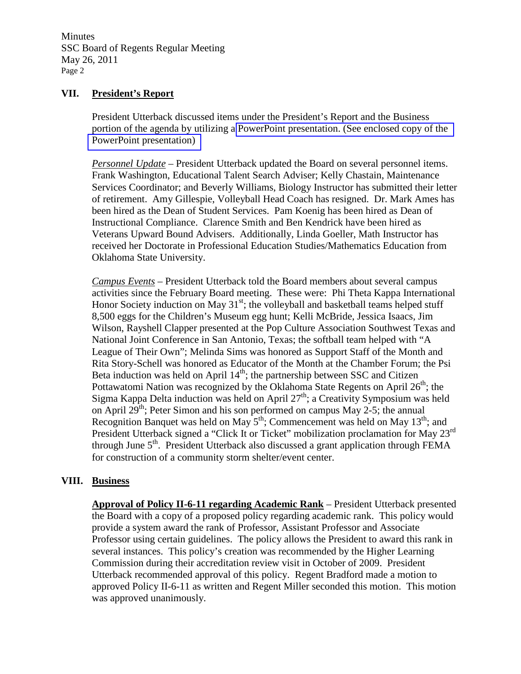Minutes SSC Board of Regents Regular Meeting May 26, 2011 Page 2

#### **VII. President's Report**

President Utterback discussed items under the President's Report and the Business portion of the agenda by utilizing a PowerPoint presentation. (See enclosed copy of the PowerPoint presentation)

*Personnel Update* – President Utterback updated the Board on several personnel items. Frank Washington, Educational Talent Search Adviser; Kelly Chastain, Maintenance Services Coordinator; and Beverly Williams, Biology Instructor has submitted their letter of retirement. Amy Gillespie, Volleyball Head Coach has resigned. Dr. Mark Ames has been hired as the Dean of Student Services. Pam Koenig has been hired as Dean of Instructional Compliance. Clarence Smith and Ben Kendrick have been hired as Veterans Upward Bound Advisers. Additionally, Linda Goeller, Math Instructor has received her Doctorate in Professional Education Studies/Mathematics Education from Oklahoma State University.

*Campus Events* – President Utterback told the Board members about several campus activities since the February Board meeting. These were: Phi Theta Kappa International Honor Society induction on May  $31<sup>st</sup>$ ; the volleyball and basketball teams helped stuff 8,500 eggs for the Children's Museum egg hunt; Kelli McBride, Jessica Isaacs, Jim Wilson, Rayshell Clapper presented at the Pop Culture Association Southwest Texas and National Joint Conference in San Antonio, Texas; the softball team helped with "A League of Their Own"; Melinda Sims was honored as Support Staff of the Month and Rita Story-Schell was honored as Educator of the Month at the Chamber Forum; the Psi Beta induction was held on April  $14<sup>th</sup>$ ; the partnership between SSC and Citizen Pottawatomi Nation was recognized by the Oklahoma State Regents on April  $26<sup>th</sup>$ ; the Sigma Kappa Delta induction was held on April  $27<sup>th</sup>$ ; a Creativity Symposium was held on April 29<sup>th</sup>; Peter Simon and his son performed on campus May 2-5; the annual Recognition Banquet was held on May  $5<sup>th</sup>$ ; Commencement was held on May  $13<sup>th</sup>$ ; and President Utterback signed a "Click It or Ticket" mobilization proclamation for May 23<sup>rd</sup> through June  $5<sup>th</sup>$ . President Utterback also discussed a grant application through FEMA for construction of a community storm shelter/event center.

## **VIII. Business**

**Approval of Policy II-6-11 regarding Academic Rank** – President Utterback presented the Board with a copy of a proposed policy regarding academic rank. This policy would provide a system award the rank of Professor, Assistant Professor and Associate Professor using certain guidelines. The policy allows the President to award this rank in several instances. This policy's creation was recommended by the Higher Learning Commission during their accreditation review visit in October of 2009. President Utterback recommended approval of this policy. Regent Bradford made a motion to approved Policy II-6-11 as written and Regent Miller seconded this motion. This motion was approved unanimously.